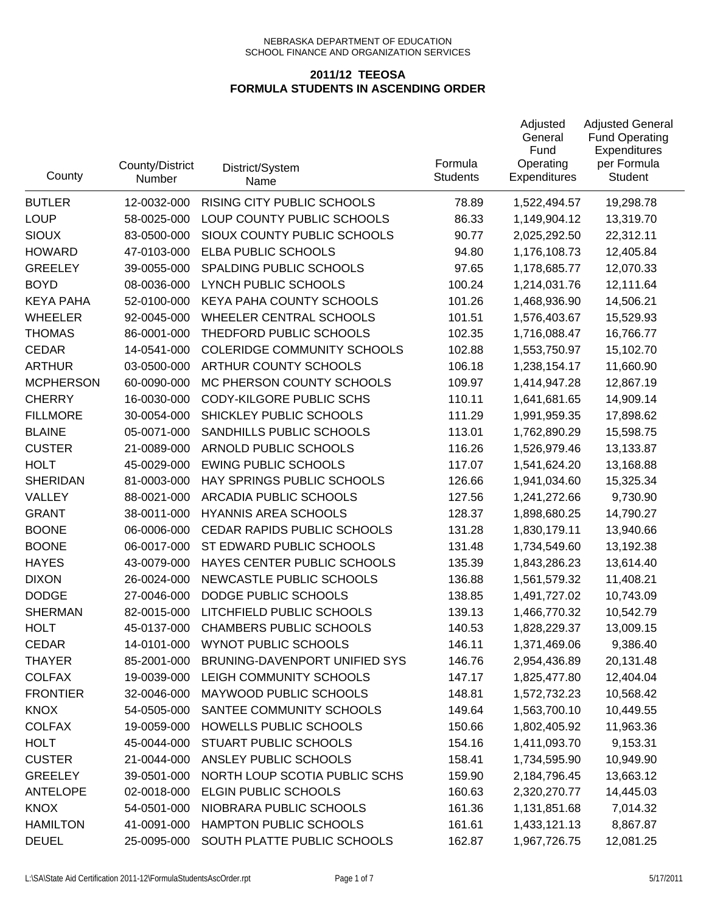| County           | County/District<br>Number | District/System<br>Name            | Formula<br><b>Students</b> | Adjusted<br>General<br>Fund<br>Operating<br>Expenditures | <b>Adjusted General</b><br><b>Fund Operating</b><br>Expenditures<br>per Formula<br><b>Student</b> |
|------------------|---------------------------|------------------------------------|----------------------------|----------------------------------------------------------|---------------------------------------------------------------------------------------------------|
| <b>BUTLER</b>    | 12-0032-000               | RISING CITY PUBLIC SCHOOLS         | 78.89                      | 1,522,494.57                                             | 19,298.78                                                                                         |
| <b>LOUP</b>      | 58-0025-000               | LOUP COUNTY PUBLIC SCHOOLS         | 86.33                      | 1,149,904.12                                             | 13,319.70                                                                                         |
| <b>SIOUX</b>     | 83-0500-000               | SIOUX COUNTY PUBLIC SCHOOLS        | 90.77                      | 2,025,292.50                                             | 22,312.11                                                                                         |
| <b>HOWARD</b>    | 47-0103-000               | ELBA PUBLIC SCHOOLS                | 94.80                      | 1,176,108.73                                             | 12,405.84                                                                                         |
| <b>GREELEY</b>   | 39-0055-000               | SPALDING PUBLIC SCHOOLS            | 97.65                      | 1,178,685.77                                             | 12,070.33                                                                                         |
| <b>BOYD</b>      | 08-0036-000               | <b>LYNCH PUBLIC SCHOOLS</b>        | 100.24                     | 1,214,031.76                                             | 12,111.64                                                                                         |
| <b>KEYA PAHA</b> | 52-0100-000               | KEYA PAHA COUNTY SCHOOLS           | 101.26                     | 1,468,936.90                                             | 14,506.21                                                                                         |
| <b>WHEELER</b>   | 92-0045-000               | WHEELER CENTRAL SCHOOLS            | 101.51                     | 1,576,403.67                                             | 15,529.93                                                                                         |
| <b>THOMAS</b>    | 86-0001-000               | THEDFORD PUBLIC SCHOOLS            | 102.35                     | 1,716,088.47                                             | 16,766.77                                                                                         |
| <b>CEDAR</b>     | 14-0541-000               | <b>COLERIDGE COMMUNITY SCHOOLS</b> | 102.88                     | 1,553,750.97                                             | 15,102.70                                                                                         |
| <b>ARTHUR</b>    | 03-0500-000               | ARTHUR COUNTY SCHOOLS              | 106.18                     | 1,238,154.17                                             | 11,660.90                                                                                         |
| <b>MCPHERSON</b> | 60-0090-000               | MC PHERSON COUNTY SCHOOLS          | 109.97                     | 1,414,947.28                                             | 12,867.19                                                                                         |
| <b>CHERRY</b>    | 16-0030-000               | CODY-KILGORE PUBLIC SCHS           | 110.11                     | 1,641,681.65                                             | 14,909.14                                                                                         |
| <b>FILLMORE</b>  | 30-0054-000               | SHICKLEY PUBLIC SCHOOLS            | 111.29                     | 1,991,959.35                                             | 17,898.62                                                                                         |
| <b>BLAINE</b>    | 05-0071-000               | SANDHILLS PUBLIC SCHOOLS           | 113.01                     | 1,762,890.29                                             | 15,598.75                                                                                         |
| <b>CUSTER</b>    | 21-0089-000               | ARNOLD PUBLIC SCHOOLS              | 116.26                     | 1,526,979.46                                             | 13,133.87                                                                                         |
| <b>HOLT</b>      | 45-0029-000               | <b>EWING PUBLIC SCHOOLS</b>        | 117.07                     | 1,541,624.20                                             | 13,168.88                                                                                         |
| <b>SHERIDAN</b>  | 81-0003-000               | HAY SPRINGS PUBLIC SCHOOLS         | 126.66                     | 1,941,034.60                                             | 15,325.34                                                                                         |
| VALLEY           | 88-0021-000               | ARCADIA PUBLIC SCHOOLS             | 127.56                     | 1,241,272.66                                             | 9,730.90                                                                                          |
| <b>GRANT</b>     | 38-0011-000               | <b>HYANNIS AREA SCHOOLS</b>        | 128.37                     | 1,898,680.25                                             | 14,790.27                                                                                         |
| <b>BOONE</b>     | 06-0006-000               | CEDAR RAPIDS PUBLIC SCHOOLS        | 131.28                     | 1,830,179.11                                             | 13,940.66                                                                                         |
| <b>BOONE</b>     | 06-0017-000               | ST EDWARD PUBLIC SCHOOLS           | 131.48                     | 1,734,549.60                                             | 13,192.38                                                                                         |
| <b>HAYES</b>     | 43-0079-000               | HAYES CENTER PUBLIC SCHOOLS        | 135.39                     | 1,843,286.23                                             | 13,614.40                                                                                         |
| <b>DIXON</b>     | 26-0024-000               | NEWCASTLE PUBLIC SCHOOLS           | 136.88                     | 1,561,579.32                                             | 11,408.21                                                                                         |
| <b>DODGE</b>     | 27-0046-000               | DODGE PUBLIC SCHOOLS               | 138.85                     | 1,491,727.02                                             | 10,743.09                                                                                         |
| <b>SHERMAN</b>   | 82-0015-000               | LITCHFIELD PUBLIC SCHOOLS          | 139.13                     | 1,466,770.32                                             | 10,542.79                                                                                         |
| <b>HOLT</b>      | 45-0137-000               | <b>CHAMBERS PUBLIC SCHOOLS</b>     | 140.53                     | 1,828,229.37                                             | 13,009.15                                                                                         |
| <b>CEDAR</b>     | 14-0101-000               | <b>WYNOT PUBLIC SCHOOLS</b>        | 146.11                     | 1,371,469.06                                             | 9,386.40                                                                                          |
| <b>THAYER</b>    | 85-2001-000               | BRUNING-DAVENPORT UNIFIED SYS      | 146.76                     | 2,954,436.89                                             | 20,131.48                                                                                         |
| <b>COLFAX</b>    | 19-0039-000               | LEIGH COMMUNITY SCHOOLS            | 147.17                     | 1,825,477.80                                             | 12,404.04                                                                                         |
| <b>FRONTIER</b>  | 32-0046-000               | MAYWOOD PUBLIC SCHOOLS             | 148.81                     | 1,572,732.23                                             | 10,568.42                                                                                         |
| <b>KNOX</b>      | 54-0505-000               | SANTEE COMMUNITY SCHOOLS           | 149.64                     | 1,563,700.10                                             | 10,449.55                                                                                         |
| <b>COLFAX</b>    | 19-0059-000               | HOWELLS PUBLIC SCHOOLS             | 150.66                     | 1,802,405.92                                             | 11,963.36                                                                                         |
| <b>HOLT</b>      | 45-0044-000               | <b>STUART PUBLIC SCHOOLS</b>       | 154.16                     | 1,411,093.70                                             | 9,153.31                                                                                          |
| <b>CUSTER</b>    | 21-0044-000               | ANSLEY PUBLIC SCHOOLS              | 158.41                     | 1,734,595.90                                             | 10,949.90                                                                                         |
| <b>GREELEY</b>   | 39-0501-000               | NORTH LOUP SCOTIA PUBLIC SCHS      | 159.90                     | 2,184,796.45                                             | 13,663.12                                                                                         |
| <b>ANTELOPE</b>  | 02-0018-000               | ELGIN PUBLIC SCHOOLS               | 160.63                     | 2,320,270.77                                             | 14,445.03                                                                                         |
| <b>KNOX</b>      | 54-0501-000               | NIOBRARA PUBLIC SCHOOLS            | 161.36                     | 1,131,851.68                                             | 7,014.32                                                                                          |
| <b>HAMILTON</b>  | 41-0091-000               | HAMPTON PUBLIC SCHOOLS             | 161.61                     | 1,433,121.13                                             | 8,867.87                                                                                          |
| <b>DEUEL</b>     | 25-0095-000               | SOUTH PLATTE PUBLIC SCHOOLS        | 162.87                     | 1,967,726.75                                             | 12,081.25                                                                                         |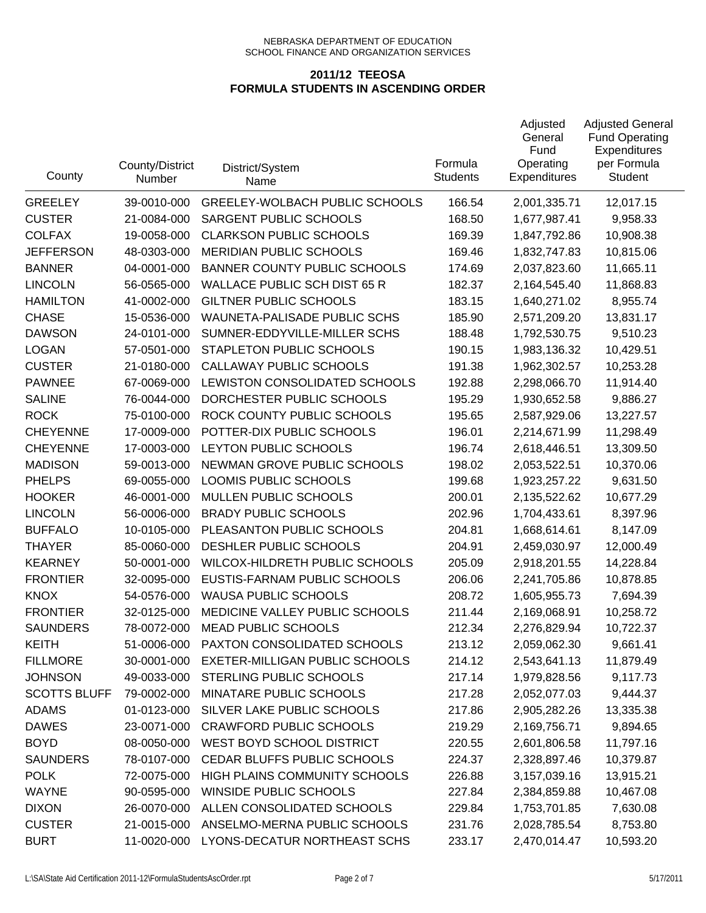| County              | County/District<br>Number | District/System<br>Name               | Formula<br><b>Students</b> | Adjusted<br>General<br>Fund<br>Operating<br><b>Expenditures</b> | <b>Adjusted General</b><br><b>Fund Operating</b><br>Expenditures<br>per Formula<br><b>Student</b> |
|---------------------|---------------------------|---------------------------------------|----------------------------|-----------------------------------------------------------------|---------------------------------------------------------------------------------------------------|
| <b>GREELEY</b>      | 39-0010-000               | <b>GREELEY-WOLBACH PUBLIC SCHOOLS</b> | 166.54                     | 2,001,335.71                                                    | 12,017.15                                                                                         |
| <b>CUSTER</b>       | 21-0084-000               | SARGENT PUBLIC SCHOOLS                | 168.50                     | 1,677,987.41                                                    | 9,958.33                                                                                          |
| <b>COLFAX</b>       | 19-0058-000               | <b>CLARKSON PUBLIC SCHOOLS</b>        | 169.39                     | 1,847,792.86                                                    | 10,908.38                                                                                         |
| <b>JEFFERSON</b>    | 48-0303-000               | <b>MERIDIAN PUBLIC SCHOOLS</b>        | 169.46                     | 1,832,747.83                                                    | 10,815.06                                                                                         |
| <b>BANNER</b>       | 04-0001-000               | <b>BANNER COUNTY PUBLIC SCHOOLS</b>   | 174.69                     | 2,037,823.60                                                    | 11,665.11                                                                                         |
| <b>LINCOLN</b>      | 56-0565-000               | <b>WALLACE PUBLIC SCH DIST 65 R</b>   | 182.37                     | 2,164,545.40                                                    | 11,868.83                                                                                         |
| <b>HAMILTON</b>     | 41-0002-000               | <b>GILTNER PUBLIC SCHOOLS</b>         | 183.15                     | 1,640,271.02                                                    | 8,955.74                                                                                          |
| <b>CHASE</b>        | 15-0536-000               | WAUNETA-PALISADE PUBLIC SCHS          | 185.90                     | 2,571,209.20                                                    | 13,831.17                                                                                         |
| <b>DAWSON</b>       | 24-0101-000               | SUMNER-EDDYVILLE-MILLER SCHS          | 188.48                     | 1,792,530.75                                                    | 9,510.23                                                                                          |
| <b>LOGAN</b>        | 57-0501-000               | STAPLETON PUBLIC SCHOOLS              | 190.15                     | 1,983,136.32                                                    | 10,429.51                                                                                         |
| <b>CUSTER</b>       | 21-0180-000               | CALLAWAY PUBLIC SCHOOLS               | 191.38                     | 1,962,302.57                                                    | 10,253.28                                                                                         |
| <b>PAWNEE</b>       | 67-0069-000               | LEWISTON CONSOLIDATED SCHOOLS         | 192.88                     | 2,298,066.70                                                    | 11,914.40                                                                                         |
| <b>SALINE</b>       | 76-0044-000               | DORCHESTER PUBLIC SCHOOLS             | 195.29                     | 1,930,652.58                                                    | 9,886.27                                                                                          |
| <b>ROCK</b>         | 75-0100-000               | ROCK COUNTY PUBLIC SCHOOLS            | 195.65                     | 2,587,929.06                                                    | 13,227.57                                                                                         |
| <b>CHEYENNE</b>     | 17-0009-000               | POTTER-DIX PUBLIC SCHOOLS             | 196.01                     | 2,214,671.99                                                    | 11,298.49                                                                                         |
| <b>CHEYENNE</b>     | 17-0003-000               | LEYTON PUBLIC SCHOOLS                 | 196.74                     | 2,618,446.51                                                    | 13,309.50                                                                                         |
| <b>MADISON</b>      | 59-0013-000               | NEWMAN GROVE PUBLIC SCHOOLS           | 198.02                     | 2,053,522.51                                                    | 10,370.06                                                                                         |
| <b>PHELPS</b>       | 69-0055-000               | LOOMIS PUBLIC SCHOOLS                 | 199.68                     | 1,923,257.22                                                    | 9,631.50                                                                                          |
| <b>HOOKER</b>       | 46-0001-000               | MULLEN PUBLIC SCHOOLS                 | 200.01                     | 2,135,522.62                                                    | 10,677.29                                                                                         |
| <b>LINCOLN</b>      | 56-0006-000               | <b>BRADY PUBLIC SCHOOLS</b>           | 202.96                     | 1,704,433.61                                                    | 8,397.96                                                                                          |
| <b>BUFFALO</b>      | 10-0105-000               | PLEASANTON PUBLIC SCHOOLS             | 204.81                     | 1,668,614.61                                                    | 8,147.09                                                                                          |
| <b>THAYER</b>       | 85-0060-000               | DESHLER PUBLIC SCHOOLS                | 204.91                     | 2,459,030.97                                                    | 12,000.49                                                                                         |
| <b>KEARNEY</b>      | 50-0001-000               | WILCOX-HILDRETH PUBLIC SCHOOLS        | 205.09                     | 2,918,201.55                                                    | 14,228.84                                                                                         |
| <b>FRONTIER</b>     | 32-0095-000               | EUSTIS-FARNAM PUBLIC SCHOOLS          | 206.06                     | 2,241,705.86                                                    | 10,878.85                                                                                         |
| <b>KNOX</b>         | 54-0576-000               | <b>WAUSA PUBLIC SCHOOLS</b>           | 208.72                     | 1,605,955.73                                                    | 7,694.39                                                                                          |
| <b>FRONTIER</b>     | 32-0125-000               | MEDICINE VALLEY PUBLIC SCHOOLS        | 211.44                     | 2,169,068.91                                                    | 10,258.72                                                                                         |
| <b>SAUNDERS</b>     | 78-0072-000               | <b>MEAD PUBLIC SCHOOLS</b>            | 212.34                     | 2,276,829.94                                                    | 10,722.37                                                                                         |
| KEITH               | 51-0006-000               | PAXTON CONSOLIDATED SCHOOLS           | 213.12                     | 2,059,062.30                                                    | 9,661.41                                                                                          |
| <b>FILLMORE</b>     | 30-0001-000               | EXETER-MILLIGAN PUBLIC SCHOOLS        | 214.12                     | 2,543,641.13                                                    | 11,879.49                                                                                         |
| <b>JOHNSON</b>      | 49-0033-000               | STERLING PUBLIC SCHOOLS               | 217.14                     | 1,979,828.56                                                    | 9,117.73                                                                                          |
| <b>SCOTTS BLUFF</b> | 79-0002-000               | MINATARE PUBLIC SCHOOLS               | 217.28                     | 2,052,077.03                                                    | 9,444.37                                                                                          |
| <b>ADAMS</b>        | 01-0123-000               | SILVER LAKE PUBLIC SCHOOLS            | 217.86                     | 2,905,282.26                                                    | 13,335.38                                                                                         |
| <b>DAWES</b>        | 23-0071-000               | <b>CRAWFORD PUBLIC SCHOOLS</b>        | 219.29                     | 2,169,756.71                                                    | 9,894.65                                                                                          |
| <b>BOYD</b>         | 08-0050-000               | WEST BOYD SCHOOL DISTRICT             | 220.55                     | 2,601,806.58                                                    | 11,797.16                                                                                         |
| <b>SAUNDERS</b>     | 78-0107-000               | CEDAR BLUFFS PUBLIC SCHOOLS           | 224.37                     | 2,328,897.46                                                    | 10,379.87                                                                                         |
| <b>POLK</b>         | 72-0075-000               | HIGH PLAINS COMMUNITY SCHOOLS         | 226.88                     | 3,157,039.16                                                    | 13,915.21                                                                                         |
| <b>WAYNE</b>        | 90-0595-000               | WINSIDE PUBLIC SCHOOLS                | 227.84                     | 2,384,859.88                                                    | 10,467.08                                                                                         |
| <b>DIXON</b>        | 26-0070-000               | ALLEN CONSOLIDATED SCHOOLS            | 229.84                     | 1,753,701.85                                                    | 7,630.08                                                                                          |
| <b>CUSTER</b>       | 21-0015-000               | ANSELMO-MERNA PUBLIC SCHOOLS          | 231.76                     | 2,028,785.54                                                    | 8,753.80                                                                                          |
| <b>BURT</b>         | 11-0020-000               | LYONS-DECATUR NORTHEAST SCHS          | 233.17                     | 2,470,014.47                                                    | 10,593.20                                                                                         |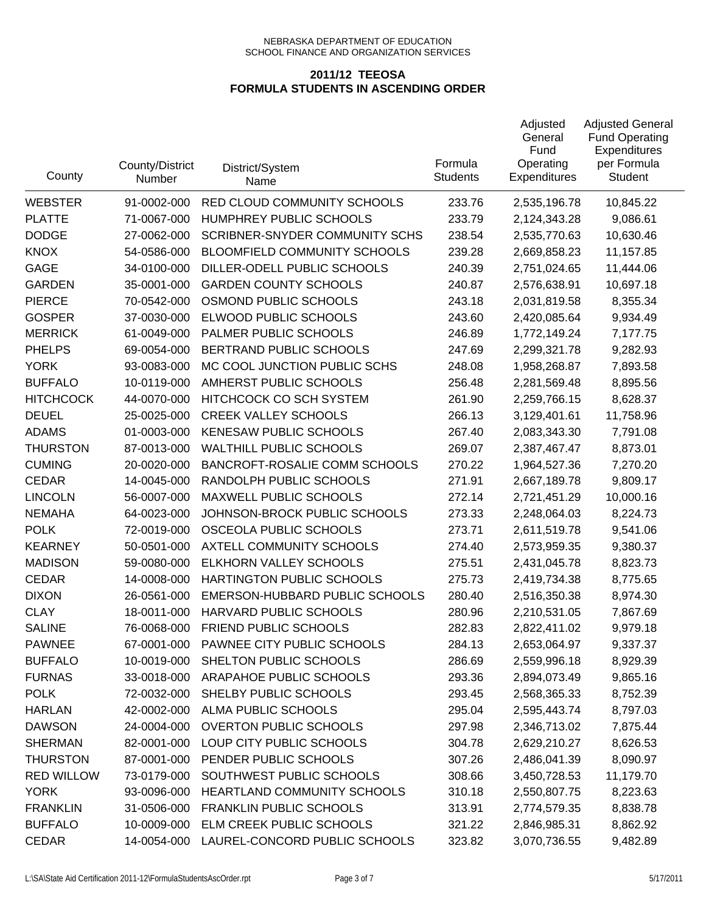| County            | County/District<br>Number | District/System<br>Name             | Formula<br><b>Students</b> | Adjusted<br>General<br>Fund<br>Operating<br><b>Expenditures</b> | <b>Adjusted General</b><br><b>Fund Operating</b><br>Expenditures<br>per Formula<br><b>Student</b> |
|-------------------|---------------------------|-------------------------------------|----------------------------|-----------------------------------------------------------------|---------------------------------------------------------------------------------------------------|
| <b>WEBSTER</b>    | 91-0002-000               | RED CLOUD COMMUNITY SCHOOLS         | 233.76                     | 2,535,196.78                                                    | 10,845.22                                                                                         |
| <b>PLATTE</b>     | 71-0067-000               | HUMPHREY PUBLIC SCHOOLS             | 233.79                     | 2,124,343.28                                                    | 9,086.61                                                                                          |
| <b>DODGE</b>      | 27-0062-000               | SCRIBNER-SNYDER COMMUNITY SCHS      | 238.54                     | 2,535,770.63                                                    | 10,630.46                                                                                         |
| <b>KNOX</b>       | 54-0586-000               | <b>BLOOMFIELD COMMUNITY SCHOOLS</b> | 239.28                     | 2,669,858.23                                                    | 11,157.85                                                                                         |
| <b>GAGE</b>       | 34-0100-000               | DILLER-ODELL PUBLIC SCHOOLS         | 240.39                     | 2,751,024.65                                                    | 11,444.06                                                                                         |
| <b>GARDEN</b>     | 35-0001-000               | <b>GARDEN COUNTY SCHOOLS</b>        | 240.87                     | 2,576,638.91                                                    | 10,697.18                                                                                         |
| <b>PIERCE</b>     | 70-0542-000               | OSMOND PUBLIC SCHOOLS               | 243.18                     | 2,031,819.58                                                    | 8,355.34                                                                                          |
| <b>GOSPER</b>     | 37-0030-000               | ELWOOD PUBLIC SCHOOLS               | 243.60                     | 2,420,085.64                                                    | 9,934.49                                                                                          |
| <b>MERRICK</b>    | 61-0049-000               | PALMER PUBLIC SCHOOLS               | 246.89                     | 1,772,149.24                                                    | 7,177.75                                                                                          |
| <b>PHELPS</b>     | 69-0054-000               | BERTRAND PUBLIC SCHOOLS             | 247.69                     | 2,299,321.78                                                    | 9,282.93                                                                                          |
| <b>YORK</b>       | 93-0083-000               | MC COOL JUNCTION PUBLIC SCHS        | 248.08                     | 1,958,268.87                                                    | 7,893.58                                                                                          |
| <b>BUFFALO</b>    | 10-0119-000               | AMHERST PUBLIC SCHOOLS              | 256.48                     | 2,281,569.48                                                    | 8,895.56                                                                                          |
| <b>HITCHCOCK</b>  | 44-0070-000               | HITCHCOCK CO SCH SYSTEM             | 261.90                     | 2,259,766.15                                                    | 8,628.37                                                                                          |
| <b>DEUEL</b>      | 25-0025-000               | <b>CREEK VALLEY SCHOOLS</b>         | 266.13                     | 3,129,401.61                                                    | 11,758.96                                                                                         |
| <b>ADAMS</b>      | 01-0003-000               | KENESAW PUBLIC SCHOOLS              | 267.40                     | 2,083,343.30                                                    | 7,791.08                                                                                          |
| <b>THURSTON</b>   | 87-0013-000               | <b>WALTHILL PUBLIC SCHOOLS</b>      | 269.07                     | 2,387,467.47                                                    | 8,873.01                                                                                          |
| <b>CUMING</b>     | 20-0020-000               | BANCROFT-ROSALIE COMM SCHOOLS       | 270.22                     | 1,964,527.36                                                    | 7,270.20                                                                                          |
| <b>CEDAR</b>      | 14-0045-000               | RANDOLPH PUBLIC SCHOOLS             | 271.91                     | 2,667,189.78                                                    | 9,809.17                                                                                          |
| <b>LINCOLN</b>    | 56-0007-000               | MAXWELL PUBLIC SCHOOLS              | 272.14                     | 2,721,451.29                                                    | 10,000.16                                                                                         |
| <b>NEMAHA</b>     | 64-0023-000               | JOHNSON-BROCK PUBLIC SCHOOLS        | 273.33                     | 2,248,064.03                                                    | 8,224.73                                                                                          |
| <b>POLK</b>       | 72-0019-000               | OSCEOLA PUBLIC SCHOOLS              | 273.71                     | 2,611,519.78                                                    | 9,541.06                                                                                          |
| <b>KEARNEY</b>    | 50-0501-000               | AXTELL COMMUNITY SCHOOLS            | 274.40                     | 2,573,959.35                                                    | 9,380.37                                                                                          |
| <b>MADISON</b>    | 59-0080-000               | ELKHORN VALLEY SCHOOLS              | 275.51                     | 2,431,045.78                                                    | 8,823.73                                                                                          |
| <b>CEDAR</b>      | 14-0008-000               | HARTINGTON PUBLIC SCHOOLS           | 275.73                     | 2,419,734.38                                                    | 8,775.65                                                                                          |
| <b>DIXON</b>      | 26-0561-000               | EMERSON-HUBBARD PUBLIC SCHOOLS      | 280.40                     | 2,516,350.38                                                    | 8,974.30                                                                                          |
| <b>CLAY</b>       | 18-0011-000               | HARVARD PUBLIC SCHOOLS              | 280.96                     | 2,210,531.05                                                    | 7,867.69                                                                                          |
| <b>SALINE</b>     | 76-0068-000               | FRIEND PUBLIC SCHOOLS               | 282.83                     | 2,822,411.02                                                    | 9,979.18                                                                                          |
| <b>PAWNEE</b>     | 67-0001-000               | PAWNEE CITY PUBLIC SCHOOLS          | 284.13                     | 2,653,064.97                                                    | 9,337.37                                                                                          |
| <b>BUFFALO</b>    | 10-0019-000               | SHELTON PUBLIC SCHOOLS              | 286.69                     | 2,559,996.18                                                    | 8,929.39                                                                                          |
| <b>FURNAS</b>     | 33-0018-000               | ARAPAHOE PUBLIC SCHOOLS             | 293.36                     | 2,894,073.49                                                    | 9,865.16                                                                                          |
| <b>POLK</b>       | 72-0032-000               | SHELBY PUBLIC SCHOOLS               | 293.45                     | 2,568,365.33                                                    | 8,752.39                                                                                          |
| <b>HARLAN</b>     | 42-0002-000               | ALMA PUBLIC SCHOOLS                 | 295.04                     | 2,595,443.74                                                    | 8,797.03                                                                                          |
| <b>DAWSON</b>     | 24-0004-000               | <b>OVERTON PUBLIC SCHOOLS</b>       | 297.98                     | 2,346,713.02                                                    | 7,875.44                                                                                          |
| <b>SHERMAN</b>    | 82-0001-000               | LOUP CITY PUBLIC SCHOOLS            | 304.78                     | 2,629,210.27                                                    | 8,626.53                                                                                          |
| <b>THURSTON</b>   | 87-0001-000               | PENDER PUBLIC SCHOOLS               | 307.26                     | 2,486,041.39                                                    | 8,090.97                                                                                          |
| <b>RED WILLOW</b> | 73-0179-000               | SOUTHWEST PUBLIC SCHOOLS            | 308.66                     | 3,450,728.53                                                    | 11,179.70                                                                                         |
| <b>YORK</b>       | 93-0096-000               | HEARTLAND COMMUNITY SCHOOLS         | 310.18                     | 2,550,807.75                                                    | 8,223.63                                                                                          |
| <b>FRANKLIN</b>   | 31-0506-000               | <b>FRANKLIN PUBLIC SCHOOLS</b>      | 313.91                     | 2,774,579.35                                                    | 8,838.78                                                                                          |
| <b>BUFFALO</b>    | 10-0009-000               | ELM CREEK PUBLIC SCHOOLS            | 321.22                     | 2,846,985.31                                                    | 8,862.92                                                                                          |
| CEDAR             | 14-0054-000               | LAUREL-CONCORD PUBLIC SCHOOLS       | 323.82                     | 3,070,736.55                                                    | 9,482.89                                                                                          |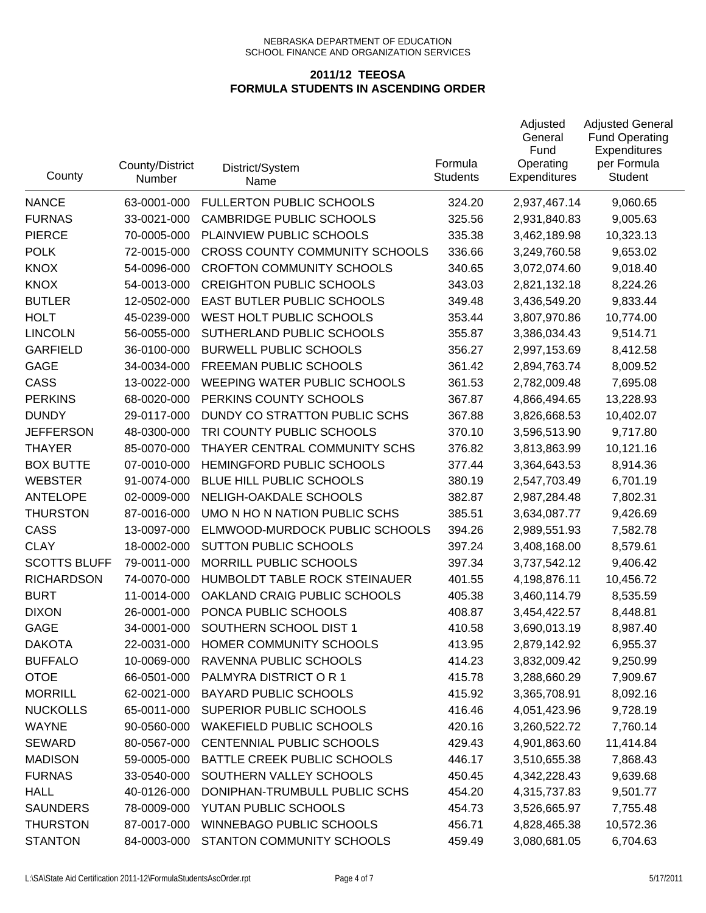| County              | County/District<br>Number | District/System<br>Name               | Formula<br><b>Students</b> | Adjusted<br>General<br>Fund<br>Operating<br><b>Expenditures</b> | <b>Adjusted General</b><br><b>Fund Operating</b><br>Expenditures<br>per Formula<br><b>Student</b> |
|---------------------|---------------------------|---------------------------------------|----------------------------|-----------------------------------------------------------------|---------------------------------------------------------------------------------------------------|
| <b>NANCE</b>        | 63-0001-000               | <b>FULLERTON PUBLIC SCHOOLS</b>       | 324.20                     | 2,937,467.14                                                    | 9,060.65                                                                                          |
| <b>FURNAS</b>       | 33-0021-000               | <b>CAMBRIDGE PUBLIC SCHOOLS</b>       | 325.56                     | 2,931,840.83                                                    | 9,005.63                                                                                          |
| <b>PIERCE</b>       | 70-0005-000               | PLAINVIEW PUBLIC SCHOOLS              | 335.38                     | 3,462,189.98                                                    | 10,323.13                                                                                         |
| <b>POLK</b>         | 72-0015-000               | <b>CROSS COUNTY COMMUNITY SCHOOLS</b> | 336.66                     | 3,249,760.58                                                    | 9,653.02                                                                                          |
| <b>KNOX</b>         | 54-0096-000               | <b>CROFTON COMMUNITY SCHOOLS</b>      | 340.65                     | 3,072,074.60                                                    | 9,018.40                                                                                          |
| <b>KNOX</b>         | 54-0013-000               | <b>CREIGHTON PUBLIC SCHOOLS</b>       | 343.03                     | 2,821,132.18                                                    | 8,224.26                                                                                          |
| <b>BUTLER</b>       | 12-0502-000               | EAST BUTLER PUBLIC SCHOOLS            | 349.48                     | 3,436,549.20                                                    | 9,833.44                                                                                          |
| <b>HOLT</b>         | 45-0239-000               | WEST HOLT PUBLIC SCHOOLS              | 353.44                     | 3,807,970.86                                                    | 10,774.00                                                                                         |
| <b>LINCOLN</b>      | 56-0055-000               | SUTHERLAND PUBLIC SCHOOLS             | 355.87                     | 3,386,034.43                                                    | 9,514.71                                                                                          |
| <b>GARFIELD</b>     | 36-0100-000               | <b>BURWELL PUBLIC SCHOOLS</b>         | 356.27                     | 2,997,153.69                                                    | 8,412.58                                                                                          |
| <b>GAGE</b>         | 34-0034-000               | FREEMAN PUBLIC SCHOOLS                | 361.42                     | 2,894,763.74                                                    | 8,009.52                                                                                          |
| CASS                | 13-0022-000               | WEEPING WATER PUBLIC SCHOOLS          | 361.53                     | 2,782,009.48                                                    | 7,695.08                                                                                          |
| <b>PERKINS</b>      | 68-0020-000               | PERKINS COUNTY SCHOOLS                | 367.87                     | 4,866,494.65                                                    | 13,228.93                                                                                         |
| <b>DUNDY</b>        | 29-0117-000               | DUNDY CO STRATTON PUBLIC SCHS         | 367.88                     | 3,826,668.53                                                    | 10,402.07                                                                                         |
| <b>JEFFERSON</b>    | 48-0300-000               | TRI COUNTY PUBLIC SCHOOLS             | 370.10                     | 3,596,513.90                                                    | 9,717.80                                                                                          |
| <b>THAYER</b>       | 85-0070-000               | THAYER CENTRAL COMMUNITY SCHS         | 376.82                     | 3,813,863.99                                                    | 10,121.16                                                                                         |
| <b>BOX BUTTE</b>    | 07-0010-000               | HEMINGFORD PUBLIC SCHOOLS             | 377.44                     | 3,364,643.53                                                    | 8,914.36                                                                                          |
| <b>WEBSTER</b>      | 91-0074-000               | BLUE HILL PUBLIC SCHOOLS              | 380.19                     | 2,547,703.49                                                    | 6,701.19                                                                                          |
| <b>ANTELOPE</b>     | 02-0009-000               | NELIGH-OAKDALE SCHOOLS                | 382.87                     | 2,987,284.48                                                    | 7,802.31                                                                                          |
| <b>THURSTON</b>     | 87-0016-000               | UMO N HO N NATION PUBLIC SCHS         | 385.51                     | 3,634,087.77                                                    | 9,426.69                                                                                          |
| CASS                | 13-0097-000               | ELMWOOD-MURDOCK PUBLIC SCHOOLS        | 394.26                     | 2,989,551.93                                                    | 7,582.78                                                                                          |
| <b>CLAY</b>         | 18-0002-000               | SUTTON PUBLIC SCHOOLS                 | 397.24                     | 3,408,168.00                                                    | 8,579.61                                                                                          |
| <b>SCOTTS BLUFF</b> | 79-0011-000               | MORRILL PUBLIC SCHOOLS                | 397.34                     | 3,737,542.12                                                    | 9,406.42                                                                                          |
| <b>RICHARDSON</b>   | 74-0070-000               | HUMBOLDT TABLE ROCK STEINAUER         | 401.55                     | 4,198,876.11                                                    | 10,456.72                                                                                         |
| <b>BURT</b>         | 11-0014-000               | OAKLAND CRAIG PUBLIC SCHOOLS          | 405.38                     | 3,460,114.79                                                    | 8,535.59                                                                                          |
| <b>DIXON</b>        | 26-0001-000               | PONCA PUBLIC SCHOOLS                  | 408.87                     | 3,454,422.57                                                    | 8,448.81                                                                                          |
| <b>GAGE</b>         | 34-0001-000               | SOUTHERN SCHOOL DIST 1                | 410.58                     | 3,690,013.19                                                    | 8,987.40                                                                                          |
| <b>DAKOTA</b>       | 22-0031-000               | HOMER COMMUNITY SCHOOLS               | 413.95                     | 2,879,142.92                                                    | 6,955.37                                                                                          |
| <b>BUFFALO</b>      | 10-0069-000               | RAVENNA PUBLIC SCHOOLS                | 414.23                     | 3,832,009.42                                                    | 9,250.99                                                                                          |
| <b>OTOE</b>         | 66-0501-000               | PALMYRA DISTRICT O R 1                | 415.78                     | 3,288,660.29                                                    | 7,909.67                                                                                          |
| <b>MORRILL</b>      | 62-0021-000               | <b>BAYARD PUBLIC SCHOOLS</b>          | 415.92                     | 3,365,708.91                                                    | 8,092.16                                                                                          |
| <b>NUCKOLLS</b>     | 65-0011-000               | SUPERIOR PUBLIC SCHOOLS               | 416.46                     | 4,051,423.96                                                    | 9,728.19                                                                                          |
| <b>WAYNE</b>        | 90-0560-000               | <b>WAKEFIELD PUBLIC SCHOOLS</b>       | 420.16                     | 3,260,522.72                                                    | 7,760.14                                                                                          |
| <b>SEWARD</b>       | 80-0567-000               | CENTENNIAL PUBLIC SCHOOLS             | 429.43                     | 4,901,863.60                                                    | 11,414.84                                                                                         |
| <b>MADISON</b>      | 59-0005-000               | BATTLE CREEK PUBLIC SCHOOLS           | 446.17                     | 3,510,655.38                                                    | 7,868.43                                                                                          |
| <b>FURNAS</b>       | 33-0540-000               | SOUTHERN VALLEY SCHOOLS               | 450.45                     | 4,342,228.43                                                    | 9,639.68                                                                                          |
| <b>HALL</b>         | 40-0126-000               | DONIPHAN-TRUMBULL PUBLIC SCHS         | 454.20                     | 4,315,737.83                                                    | 9,501.77                                                                                          |
| <b>SAUNDERS</b>     | 78-0009-000               | YUTAN PUBLIC SCHOOLS                  | 454.73                     | 3,526,665.97                                                    | 7,755.48                                                                                          |
| <b>THURSTON</b>     | 87-0017-000               | WINNEBAGO PUBLIC SCHOOLS              | 456.71                     | 4,828,465.38                                                    | 10,572.36                                                                                         |
| <b>STANTON</b>      | 84-0003-000               | STANTON COMMUNITY SCHOOLS             | 459.49                     | 3,080,681.05                                                    | 6,704.63                                                                                          |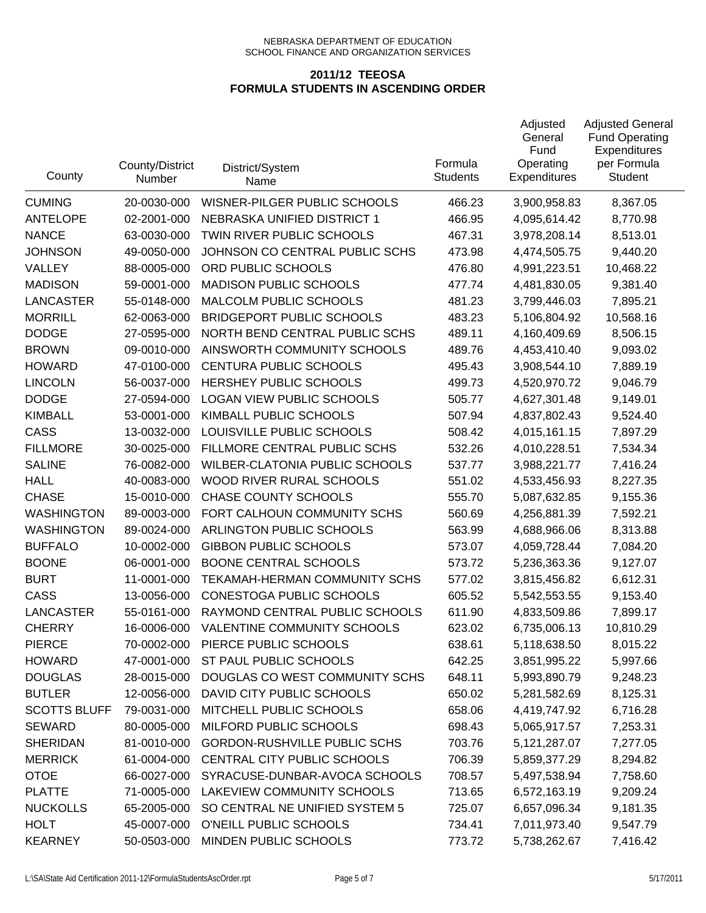| County              | County/District<br>Number | District/System<br>Name               | Formula<br><b>Students</b> | Adjusted<br>General<br>Fund<br>Operating<br><b>Expenditures</b> | <b>Adjusted General</b><br><b>Fund Operating</b><br>Expenditures<br>per Formula<br><b>Student</b> |
|---------------------|---------------------------|---------------------------------------|----------------------------|-----------------------------------------------------------------|---------------------------------------------------------------------------------------------------|
| <b>CUMING</b>       | 20-0030-000               | WISNER-PILGER PUBLIC SCHOOLS          | 466.23                     | 3,900,958.83                                                    | 8,367.05                                                                                          |
| <b>ANTELOPE</b>     | 02-2001-000               | NEBRASKA UNIFIED DISTRICT 1           | 466.95                     | 4,095,614.42                                                    | 8,770.98                                                                                          |
| <b>NANCE</b>        | 63-0030-000               | TWIN RIVER PUBLIC SCHOOLS             | 467.31                     | 3,978,208.14                                                    | 8,513.01                                                                                          |
| <b>JOHNSON</b>      | 49-0050-000               | JOHNSON CO CENTRAL PUBLIC SCHS        | 473.98                     | 4,474,505.75                                                    | 9,440.20                                                                                          |
| VALLEY              | 88-0005-000               | ORD PUBLIC SCHOOLS                    | 476.80                     | 4,991,223.51                                                    | 10,468.22                                                                                         |
| <b>MADISON</b>      | 59-0001-000               | <b>MADISON PUBLIC SCHOOLS</b>         | 477.74                     | 4,481,830.05                                                    | 9,381.40                                                                                          |
| <b>LANCASTER</b>    | 55-0148-000               | MALCOLM PUBLIC SCHOOLS                | 481.23                     | 3,799,446.03                                                    | 7,895.21                                                                                          |
| <b>MORRILL</b>      | 62-0063-000               | <b>BRIDGEPORT PUBLIC SCHOOLS</b>      | 483.23                     | 5,106,804.92                                                    | 10,568.16                                                                                         |
| <b>DODGE</b>        | 27-0595-000               | NORTH BEND CENTRAL PUBLIC SCHS        | 489.11                     | 4,160,409.69                                                    | 8,506.15                                                                                          |
| <b>BROWN</b>        | 09-0010-000               | AINSWORTH COMMUNITY SCHOOLS           | 489.76                     | 4,453,410.40                                                    | 9,093.02                                                                                          |
| <b>HOWARD</b>       | 47-0100-000               | CENTURA PUBLIC SCHOOLS                | 495.43                     | 3,908,544.10                                                    | 7,889.19                                                                                          |
| <b>LINCOLN</b>      | 56-0037-000               | HERSHEY PUBLIC SCHOOLS                | 499.73                     | 4,520,970.72                                                    | 9,046.79                                                                                          |
| <b>DODGE</b>        | 27-0594-000               | <b>LOGAN VIEW PUBLIC SCHOOLS</b>      | 505.77                     | 4,627,301.48                                                    | 9,149.01                                                                                          |
| <b>KIMBALL</b>      | 53-0001-000               | KIMBALL PUBLIC SCHOOLS                | 507.94                     | 4,837,802.43                                                    | 9,524.40                                                                                          |
| CASS                | 13-0032-000               | LOUISVILLE PUBLIC SCHOOLS             | 508.42                     | 4,015,161.15                                                    | 7,897.29                                                                                          |
| <b>FILLMORE</b>     | 30-0025-000               | FILLMORE CENTRAL PUBLIC SCHS          | 532.26                     | 4,010,228.51                                                    | 7,534.34                                                                                          |
| <b>SALINE</b>       | 76-0082-000               | <b>WILBER-CLATONIA PUBLIC SCHOOLS</b> | 537.77                     | 3,988,221.77                                                    | 7,416.24                                                                                          |
| <b>HALL</b>         | 40-0083-000               | WOOD RIVER RURAL SCHOOLS              | 551.02                     | 4,533,456.93                                                    | 8,227.35                                                                                          |
| <b>CHASE</b>        | 15-0010-000               | <b>CHASE COUNTY SCHOOLS</b>           | 555.70                     | 5,087,632.85                                                    | 9,155.36                                                                                          |
| <b>WASHINGTON</b>   | 89-0003-000               | FORT CALHOUN COMMUNITY SCHS           | 560.69                     | 4,256,881.39                                                    | 7,592.21                                                                                          |
| <b>WASHINGTON</b>   | 89-0024-000               | ARLINGTON PUBLIC SCHOOLS              | 563.99                     | 4,688,966.06                                                    | 8,313.88                                                                                          |
| <b>BUFFALO</b>      | 10-0002-000               | <b>GIBBON PUBLIC SCHOOLS</b>          | 573.07                     | 4,059,728.44                                                    | 7,084.20                                                                                          |
| <b>BOONE</b>        | 06-0001-000               | <b>BOONE CENTRAL SCHOOLS</b>          | 573.72                     | 5,236,363.36                                                    | 9,127.07                                                                                          |
| <b>BURT</b>         | 11-0001-000               | TEKAMAH-HERMAN COMMUNITY SCHS         | 577.02                     | 3,815,456.82                                                    | 6,612.31                                                                                          |
| CASS                | 13-0056-000               | <b>CONESTOGA PUBLIC SCHOOLS</b>       | 605.52                     | 5,542,553.55                                                    | 9,153.40                                                                                          |
| <b>LANCASTER</b>    | 55-0161-000               | RAYMOND CENTRAL PUBLIC SCHOOLS        | 611.90                     | 4,833,509.86                                                    | 7,899.17                                                                                          |
| <b>CHERRY</b>       | 16-0006-000               | <b>VALENTINE COMMUNITY SCHOOLS</b>    | 623.02                     | 6,735,006.13                                                    | 10,810.29                                                                                         |
| <b>PIERCE</b>       | 70-0002-000               | PIERCE PUBLIC SCHOOLS                 | 638.61                     | 5,118,638.50                                                    | 8,015.22                                                                                          |
| <b>HOWARD</b>       | 47-0001-000               | ST PAUL PUBLIC SCHOOLS                | 642.25                     | 3,851,995.22                                                    | 5,997.66                                                                                          |
| <b>DOUGLAS</b>      | 28-0015-000               | DOUGLAS CO WEST COMMUNITY SCHS        | 648.11                     | 5,993,890.79                                                    | 9,248.23                                                                                          |
| <b>BUTLER</b>       | 12-0056-000               | DAVID CITY PUBLIC SCHOOLS             | 650.02                     | 5,281,582.69                                                    | 8,125.31                                                                                          |
| <b>SCOTTS BLUFF</b> | 79-0031-000               | MITCHELL PUBLIC SCHOOLS               | 658.06                     | 4,419,747.92                                                    | 6,716.28                                                                                          |
| <b>SEWARD</b>       | 80-0005-000               | MILFORD PUBLIC SCHOOLS                | 698.43                     | 5,065,917.57                                                    | 7,253.31                                                                                          |
| <b>SHERIDAN</b>     | 81-0010-000               | <b>GORDON-RUSHVILLE PUBLIC SCHS</b>   | 703.76                     | 5, 121, 287.07                                                  | 7,277.05                                                                                          |
| <b>MERRICK</b>      | 61-0004-000               | CENTRAL CITY PUBLIC SCHOOLS           | 706.39                     | 5,859,377.29                                                    | 8,294.82                                                                                          |
| <b>OTOE</b>         | 66-0027-000               | SYRACUSE-DUNBAR-AVOCA SCHOOLS         | 708.57                     | 5,497,538.94                                                    | 7,758.60                                                                                          |
| <b>PLATTE</b>       | 71-0005-000               | LAKEVIEW COMMUNITY SCHOOLS            | 713.65                     | 6,572,163.19                                                    | 9,209.24                                                                                          |
| <b>NUCKOLLS</b>     | 65-2005-000               | SO CENTRAL NE UNIFIED SYSTEM 5        | 725.07                     | 6,657,096.34                                                    | 9,181.35                                                                                          |
| <b>HOLT</b>         | 45-0007-000               | O'NEILL PUBLIC SCHOOLS                | 734.41                     | 7,011,973.40                                                    | 9,547.79                                                                                          |
| <b>KEARNEY</b>      | 50-0503-000               | MINDEN PUBLIC SCHOOLS                 | 773.72                     | 5,738,262.67                                                    | 7,416.42                                                                                          |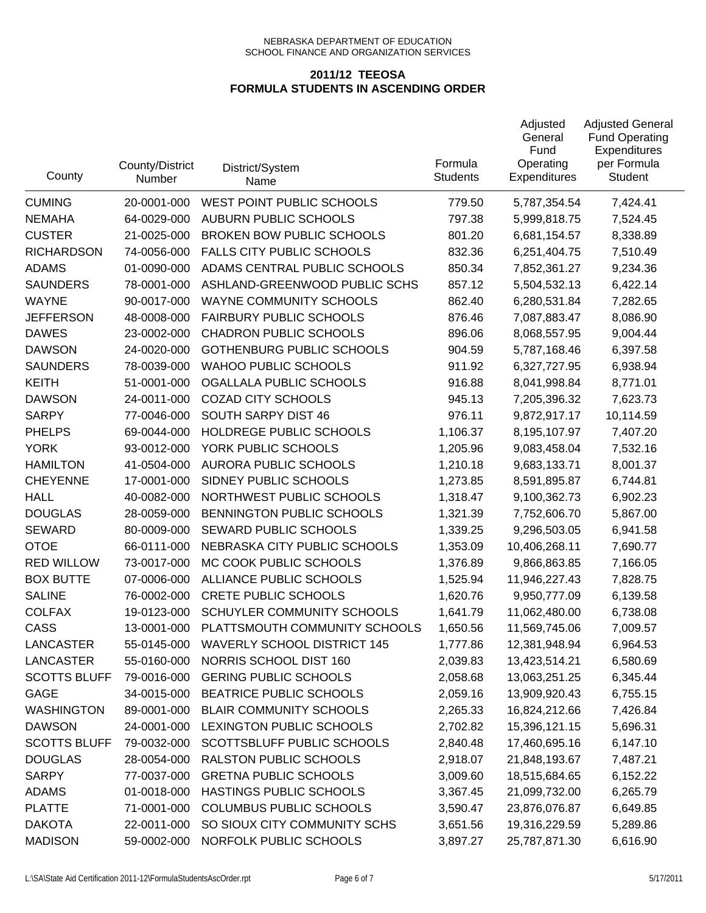| County              | County/District<br>Number | District/System<br>Name            | Formula<br><b>Students</b> | Adjusted<br>General<br>Fund<br>Operating<br><b>Expenditures</b> | <b>Adjusted General</b><br><b>Fund Operating</b><br>Expenditures<br>per Formula<br><b>Student</b> |
|---------------------|---------------------------|------------------------------------|----------------------------|-----------------------------------------------------------------|---------------------------------------------------------------------------------------------------|
| <b>CUMING</b>       | 20-0001-000               | WEST POINT PUBLIC SCHOOLS          | 779.50                     | 5,787,354.54                                                    | 7,424.41                                                                                          |
| <b>NEMAHA</b>       | 64-0029-000               | AUBURN PUBLIC SCHOOLS              | 797.38                     | 5,999,818.75                                                    | 7,524.45                                                                                          |
| <b>CUSTER</b>       | 21-0025-000               | <b>BROKEN BOW PUBLIC SCHOOLS</b>   | 801.20                     | 6,681,154.57                                                    | 8,338.89                                                                                          |
| <b>RICHARDSON</b>   | 74-0056-000               | <b>FALLS CITY PUBLIC SCHOOLS</b>   | 832.36                     | 6,251,404.75                                                    | 7,510.49                                                                                          |
| <b>ADAMS</b>        | 01-0090-000               | ADAMS CENTRAL PUBLIC SCHOOLS       | 850.34                     | 7,852,361.27                                                    | 9,234.36                                                                                          |
| <b>SAUNDERS</b>     | 78-0001-000               | ASHLAND-GREENWOOD PUBLIC SCHS      | 857.12                     | 5,504,532.13                                                    | 6,422.14                                                                                          |
| <b>WAYNE</b>        | 90-0017-000               | WAYNE COMMUNITY SCHOOLS            | 862.40                     | 6,280,531.84                                                    | 7,282.65                                                                                          |
| <b>JEFFERSON</b>    | 48-0008-000               | <b>FAIRBURY PUBLIC SCHOOLS</b>     | 876.46                     | 7,087,883.47                                                    | 8,086.90                                                                                          |
| <b>DAWES</b>        | 23-0002-000               | <b>CHADRON PUBLIC SCHOOLS</b>      | 896.06                     | 8,068,557.95                                                    | 9,004.44                                                                                          |
| <b>DAWSON</b>       | 24-0020-000               | <b>GOTHENBURG PUBLIC SCHOOLS</b>   | 904.59                     | 5,787,168.46                                                    | 6,397.58                                                                                          |
| <b>SAUNDERS</b>     | 78-0039-000               | <b>WAHOO PUBLIC SCHOOLS</b>        | 911.92                     | 6,327,727.95                                                    | 6,938.94                                                                                          |
| <b>KEITH</b>        | 51-0001-000               | OGALLALA PUBLIC SCHOOLS            | 916.88                     | 8,041,998.84                                                    | 8,771.01                                                                                          |
| <b>DAWSON</b>       | 24-0011-000               | <b>COZAD CITY SCHOOLS</b>          | 945.13                     | 7,205,396.32                                                    | 7,623.73                                                                                          |
| <b>SARPY</b>        | 77-0046-000               | SOUTH SARPY DIST 46                | 976.11                     | 9,872,917.17                                                    | 10,114.59                                                                                         |
| <b>PHELPS</b>       | 69-0044-000               | HOLDREGE PUBLIC SCHOOLS            | 1,106.37                   | 8,195,107.97                                                    | 7,407.20                                                                                          |
| <b>YORK</b>         | 93-0012-000               | YORK PUBLIC SCHOOLS                | 1,205.96                   | 9,083,458.04                                                    | 7,532.16                                                                                          |
| <b>HAMILTON</b>     | 41-0504-000               | <b>AURORA PUBLIC SCHOOLS</b>       | 1,210.18                   | 9,683,133.71                                                    | 8,001.37                                                                                          |
| <b>CHEYENNE</b>     | 17-0001-000               | SIDNEY PUBLIC SCHOOLS              | 1,273.85                   | 8,591,895.87                                                    | 6,744.81                                                                                          |
| <b>HALL</b>         | 40-0082-000               | NORTHWEST PUBLIC SCHOOLS           | 1,318.47                   | 9,100,362.73                                                    | 6,902.23                                                                                          |
| <b>DOUGLAS</b>      | 28-0059-000               | BENNINGTON PUBLIC SCHOOLS          | 1,321.39                   | 7,752,606.70                                                    | 5,867.00                                                                                          |
| <b>SEWARD</b>       | 80-0009-000               | SEWARD PUBLIC SCHOOLS              | 1,339.25                   | 9,296,503.05                                                    | 6,941.58                                                                                          |
| <b>OTOE</b>         | 66-0111-000               | NEBRASKA CITY PUBLIC SCHOOLS       | 1,353.09                   | 10,406,268.11                                                   | 7,690.77                                                                                          |
| <b>RED WILLOW</b>   | 73-0017-000               | MC COOK PUBLIC SCHOOLS             | 1,376.89                   | 9,866,863.85                                                    | 7,166.05                                                                                          |
| <b>BOX BUTTE</b>    | 07-0006-000               | ALLIANCE PUBLIC SCHOOLS            | 1,525.94                   | 11,946,227.43                                                   | 7,828.75                                                                                          |
| <b>SALINE</b>       | 76-0002-000               | <b>CRETE PUBLIC SCHOOLS</b>        | 1,620.76                   | 9,950,777.09                                                    | 6,139.58                                                                                          |
| <b>COLFAX</b>       | 19-0123-000               | <b>SCHUYLER COMMUNITY SCHOOLS</b>  | 1,641.79                   | 11,062,480.00                                                   | 6,738.08                                                                                          |
| <b>CASS</b>         | 13-0001-000               | PLATTSMOUTH COMMUNITY SCHOOLS      | 1,650.56                   | 11,569,745.06                                                   | 7,009.57                                                                                          |
| LANCASTER           | 55-0145-000               | <b>WAVERLY SCHOOL DISTRICT 145</b> | 1,777.86                   | 12,381,948.94                                                   | 6,964.53                                                                                          |
| <b>LANCASTER</b>    | 55-0160-000               | NORRIS SCHOOL DIST 160             | 2,039.83                   | 13,423,514.21                                                   | 6,580.69                                                                                          |
| <b>SCOTTS BLUFF</b> | 79-0016-000               | <b>GERING PUBLIC SCHOOLS</b>       | 2,058.68                   | 13,063,251.25                                                   | 6,345.44                                                                                          |
| GAGE                | 34-0015-000               | BEATRICE PUBLIC SCHOOLS            | 2,059.16                   | 13,909,920.43                                                   | 6,755.15                                                                                          |
| <b>WASHINGTON</b>   | 89-0001-000               | <b>BLAIR COMMUNITY SCHOOLS</b>     | 2,265.33                   | 16,824,212.66                                                   | 7,426.84                                                                                          |
| <b>DAWSON</b>       | 24-0001-000               | LEXINGTON PUBLIC SCHOOLS           | 2,702.82                   | 15,396,121.15                                                   | 5,696.31                                                                                          |
| <b>SCOTTS BLUFF</b> | 79-0032-000               | SCOTTSBLUFF PUBLIC SCHOOLS         | 2,840.48                   | 17,460,695.16                                                   | 6,147.10                                                                                          |
| <b>DOUGLAS</b>      | 28-0054-000               | <b>RALSTON PUBLIC SCHOOLS</b>      | 2,918.07                   | 21,848,193.67                                                   | 7,487.21                                                                                          |
| <b>SARPY</b>        | 77-0037-000               | <b>GRETNA PUBLIC SCHOOLS</b>       | 3,009.60                   | 18,515,684.65                                                   | 6,152.22                                                                                          |
| <b>ADAMS</b>        | 01-0018-000               | HASTINGS PUBLIC SCHOOLS            | 3,367.45                   | 21,099,732.00                                                   | 6,265.79                                                                                          |
| <b>PLATTE</b>       | 71-0001-000               | COLUMBUS PUBLIC SCHOOLS            | 3,590.47                   | 23,876,076.87                                                   | 6,649.85                                                                                          |
| <b>DAKOTA</b>       | 22-0011-000               | SO SIOUX CITY COMMUNITY SCHS       | 3,651.56                   | 19,316,229.59                                                   | 5,289.86                                                                                          |
| <b>MADISON</b>      | 59-0002-000               | NORFOLK PUBLIC SCHOOLS             | 3,897.27                   | 25,787,871.30                                                   | 6,616.90                                                                                          |